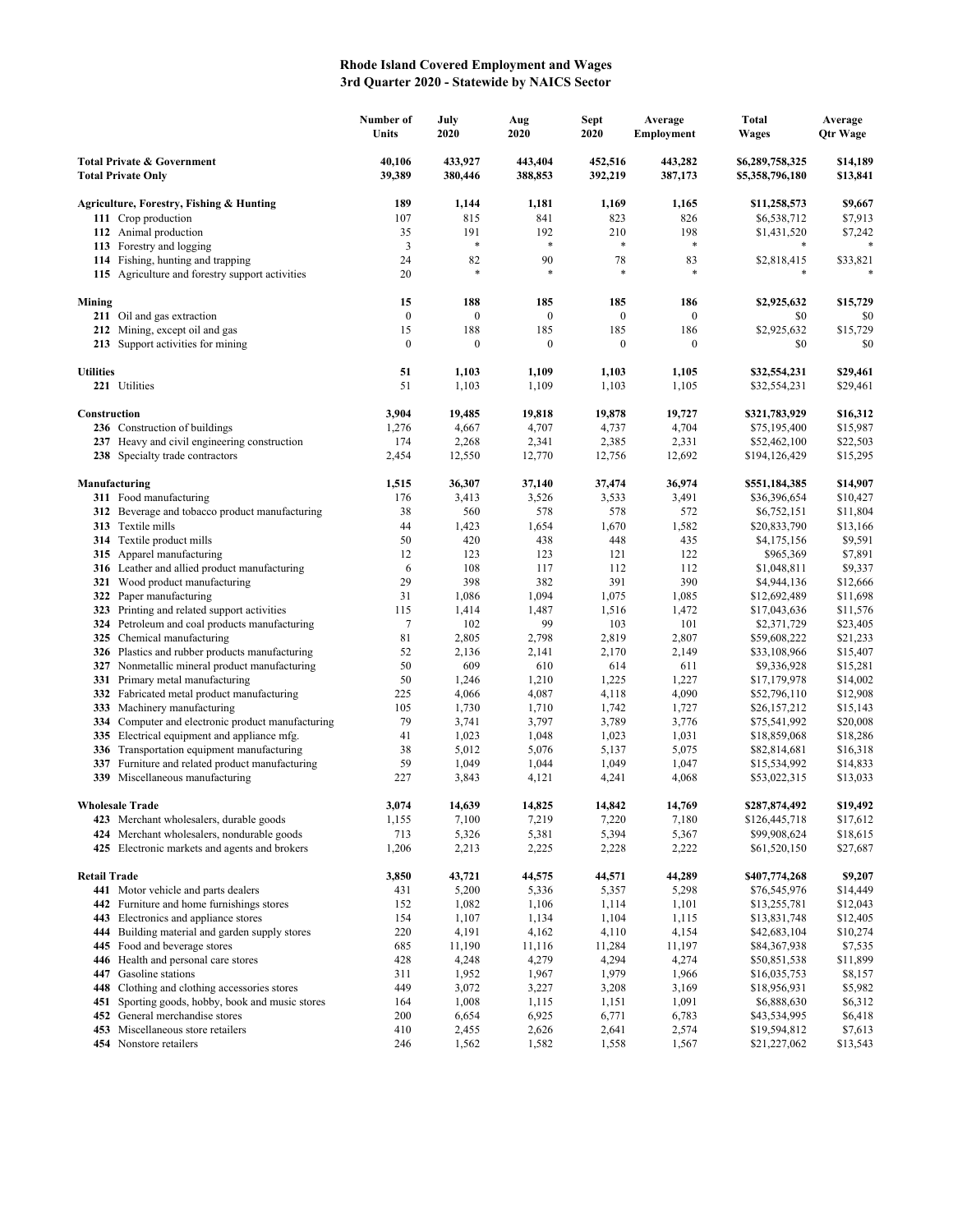## **Rhode Island Covered Employment and Wages 3rd Quarter 2020 - Statewide by NAICS Sector**

|                                                                    |                                                                             | Number of<br>Units | July<br>2020       | Aug<br>2020        | <b>Sept</b><br>2020 | Average<br>Employment | Total<br>Wages                     | Average<br>Qtr Wage  |
|--------------------------------------------------------------------|-----------------------------------------------------------------------------|--------------------|--------------------|--------------------|---------------------|-----------------------|------------------------------------|----------------------|
| <b>Total Private &amp; Government</b><br><b>Total Private Only</b> |                                                                             | 40,106<br>39,389   | 433,927<br>380,446 | 443,404<br>388,853 | 452,516<br>392,219  | 443,282<br>387,173    | \$6,289,758,325<br>\$5,358,796,180 | \$14,189<br>\$13,841 |
|                                                                    | Agriculture, Forestry, Fishing & Hunting                                    | 189                | 1,144              | 1,181              | 1,169               | 1,165                 | \$11,258,573                       | \$9,667              |
|                                                                    | 111 Crop production                                                         | 107                | 815                | 841                | 823                 | 826                   | \$6,538,712                        | \$7,913              |
|                                                                    | 112 Animal production                                                       | 35                 | 191                | 192                | 210                 | 198                   | \$1,431,520                        | \$7,242              |
|                                                                    | 113 Forestry and logging                                                    | 3                  | ×                  | $\ast$             | *                   | $\ast$                |                                    | *                    |
|                                                                    | 114 Fishing, hunting and trapping                                           | 24                 | 82                 | 90                 | 78                  | 83                    | \$2,818,415                        | \$33,821             |
|                                                                    | 115 Agriculture and forestry support activities                             | 20                 | *                  | *                  | $\ast$              | $\ast$                |                                    |                      |
| Mining                                                             |                                                                             | 15                 | 188                | 185                | 185                 | 186                   | \$2,925,632                        | \$15,729             |
|                                                                    | 211 Oil and gas extraction                                                  | $\boldsymbol{0}$   | $\boldsymbol{0}$   | $\boldsymbol{0}$   | $\boldsymbol{0}$    | $\bf{0}$              | \$0                                | \$0                  |
|                                                                    | 212 Mining, except oil and gas                                              | 15                 | 188                | 185                | 185                 | 186                   | \$2,925,632                        | \$15,729             |
|                                                                    | 213 Support activities for mining                                           | $\boldsymbol{0}$   | $\mathbf{0}$       | $\boldsymbol{0}$   | $\boldsymbol{0}$    | 0                     | \$0                                | \$0                  |
| <b>Utilities</b>                                                   |                                                                             | 51                 | 1,103              | 1,109              | 1,103               | 1,105                 | \$32,554,231                       | \$29,461             |
|                                                                    | 221 Utilities                                                               | 51                 | 1,103              | 1,109              | 1,103               | 1,105                 | \$32,554,231                       | \$29,461             |
| Construction                                                       |                                                                             | 3,904              | 19,485             | 19,818             | 19,878              | 19,727                | \$321,783,929                      | \$16,312             |
|                                                                    | 236 Construction of buildings                                               | 1,276              | 4,667              | 4,707              | 4,737               | 4,704                 | \$75,195,400                       | \$15,987             |
|                                                                    | 237 Heavy and civil engineering construction                                | 174                | 2,268              | 2,341              | 2,385               | 2,331                 | \$52,462,100                       | \$22,503             |
|                                                                    | 238 Specialty trade contractors                                             | 2,454              | 12,550             | 12,770             | 12,756              | 12,692                | \$194,126,429                      | \$15,295             |
| Manufacturing                                                      |                                                                             | 1,515              | 36,307             | 37,140             | 37,474              | 36,974                | \$551,184,385                      | \$14,907             |
|                                                                    | 311 Food manufacturing                                                      | 176                | 3,413              | 3,526              | 3,533               | 3,491                 | \$36,396,654                       | \$10,427             |
|                                                                    | 312 Beverage and tobacco product manufacturing                              | 38                 | 560                | 578                | 578                 | 572                   | \$6,752,151                        | \$11,804             |
|                                                                    | 313 Textile mills                                                           | 44                 | 1,423              | 1,654              | 1,670               | 1,582                 | \$20,833,790                       | \$13,166             |
|                                                                    | 314 Textile product mills                                                   | 50                 | 420                | 438                | 448                 | 435                   | \$4,175,156                        | \$9,591              |
|                                                                    | 315 Apparel manufacturing                                                   | 12                 | 123                | 123                | 121                 | 122                   | \$965,369                          | \$7,891              |
|                                                                    | 316 Leather and allied product manufacturing                                | 6                  | 108                | 117                | 112                 | 112                   | \$1,048,811                        | \$9,337              |
|                                                                    | 321 Wood product manufacturing                                              | 29                 | 398                | 382                | 391                 | 390                   | \$4,944,136                        | \$12,666             |
| 322                                                                | Paper manufacturing                                                         | 31                 | 1,086              | 1,094              | 1,075               | 1,085                 | \$12,692,489                       | \$11,698             |
|                                                                    | 323 Printing and related support activities                                 | 115<br>7           | 1,414<br>102       | 1,487<br>99        | 1,516<br>103        | 1,472<br>101          | \$17,043,636                       | \$11,576             |
|                                                                    | 324 Petroleum and coal products manufacturing<br>325 Chemical manufacturing | 81                 | 2,805              | 2,798              | 2,819               | 2,807                 | \$2,371,729<br>\$59,608,222        | \$23,405<br>\$21,233 |
|                                                                    | 326 Plastics and rubber products manufacturing                              | 52                 | 2,136              | 2,141              | 2,170               | 2,149                 | \$33,108,966                       | \$15,407             |
|                                                                    | 327 Nonmetallic mineral product manufacturing                               | 50                 | 609                | 610                | 614                 | 611                   | \$9,336,928                        | \$15,281             |
|                                                                    | 331 Primary metal manufacturing                                             | 50                 | 1,246              | 1,210              | 1,225               | 1,227                 | \$17,179,978                       | \$14,002             |
|                                                                    | 332 Fabricated metal product manufacturing                                  | 225                | 4,066              | 4,087              | 4,118               | 4,090                 | \$52,796,110                       | \$12,908             |
| 333                                                                | Machinery manufacturing                                                     | 105                | 1,730              | 1,710              | 1,742               | 1,727                 | \$26,157,212                       | \$15,143             |
|                                                                    | 334 Computer and electronic product manufacturing                           | 79                 | 3,741              | 3,797              | 3,789               | 3,776                 | \$75,541,992                       | \$20,008             |
| 335                                                                | Electrical equipment and appliance mfg.                                     | 41                 | 1,023              | 1,048              | 1,023               | 1,031                 | \$18,859,068                       | \$18,286             |
|                                                                    | 336 Transportation equipment manufacturing                                  | 38                 | 5,012              | 5,076              | 5,137               | 5,075                 | \$82,814,681                       | \$16,318             |
| 337                                                                | Furniture and related product manufacturing                                 | 59                 | 1,049              | 1,044              | 1,049               | 1,047                 | \$15,534,992                       | \$14,833             |
|                                                                    | 339 Miscellaneous manufacturing                                             | 227                | 3,843              | 4,121              | 4,241               | 4,068                 | \$53,022,315                       | \$13,033             |
|                                                                    | <b>Wholesale Trade</b>                                                      | 3,074              | 14,639             | 14,825             | 14,842              | 14,769                | \$287,874,492                      | \$19,492             |
|                                                                    | 423 Merchant wholesalers, durable goods                                     | 1,155              | 7,100              | 7,219              | 7,220               | 7,180                 | \$126,445,718                      | \$17,612             |
|                                                                    | 424 Merchant wholesalers, nondurable goods                                  | 713                | 5,326              | 5,381              | 5,394               | 5,367                 | \$99,908,624                       | \$18,615             |
|                                                                    | 425 Electronic markets and agents and brokers                               | 1,206              | 2,213              | 2,225              | 2,228               | 2,222                 | \$61,520,150                       | \$27,687             |
| <b>Retail Trade</b>                                                |                                                                             | 3,850              | 43,721             | 44,575             | 44,571              | 44,289                | \$407,774,268                      | \$9,207              |
|                                                                    | 441 Motor vehicle and parts dealers                                         | 431                | 5,200              | 5,336              | 5,357               | 5,298                 | \$76,545,976                       | \$14,449             |
| 442                                                                | Furniture and home furnishings stores                                       | 152                | 1,082              | 1,106              | 1,114               | 1,101                 | \$13,255,781                       | \$12,043             |
|                                                                    | 443 Electronics and appliance stores                                        | 154                | 1,107              | 1,134              | 1,104               | 1,115                 | \$13,831,748                       | \$12,405             |
|                                                                    | 444 Building material and garden supply stores                              | 220                | 4,191              | 4,162              | 4,110               | 4,154                 | \$42,683,104                       | \$10,274             |
|                                                                    | 445 Food and beverage stores                                                | 685                | 11,190             | 11,116             | 11,284              | 11,197                | \$84,367,938                       | \$7,535              |
|                                                                    | 446 Health and personal care stores                                         | 428                | 4,248              | 4,279              | 4,294               | 4,274                 | \$50,851,538                       | \$11,899             |
|                                                                    | 447 Gasoline stations<br>448 Clothing and clothing accessories stores       | 311<br>449         | 1,952<br>3,072     | 1,967<br>3,227     | 1,979               | 1,966<br>3,169        | \$16,035,753<br>\$18,956,931       | \$8,157<br>\$5,982   |
|                                                                    | 451 Sporting goods, hobby, book and music stores                            | 164                | 1,008              | 1,115              | 3,208<br>1,151      | 1,091                 | \$6,888,630                        | \$6,312              |
|                                                                    | 452 General merchandise stores                                              | 200                | 6,654              | 6,925              | 6,771               | 6,783                 | \$43,534,995                       | \$6,418              |
|                                                                    | 453 Miscellaneous store retailers                                           | 410                | 2,455              | 2,626              | 2,641               | 2,574                 | \$19,594,812                       | \$7,613              |
|                                                                    | 454 Nonstore retailers                                                      | 246                | 1,562              | 1,582              | 1,558               | 1,567                 | \$21,227,062                       | \$13,543             |